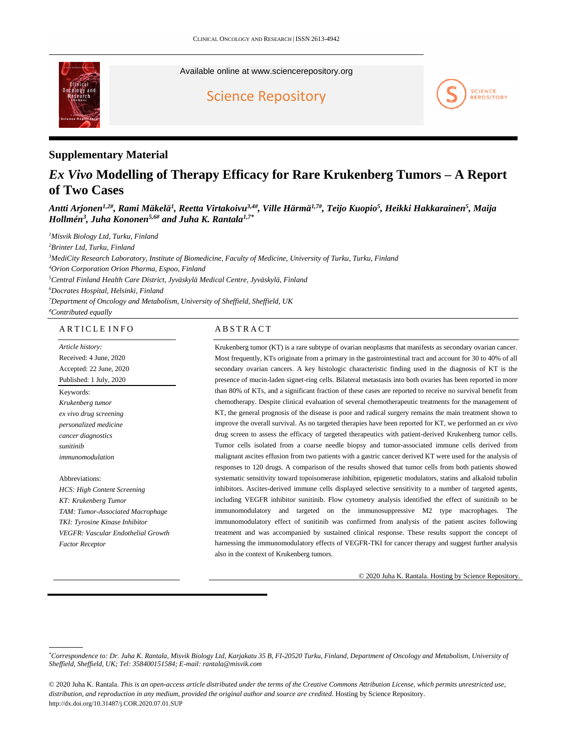

Available online at [www.sciencerepository.org](https://www.sciencerepository.org/clinical-oncology-and-research)

[Science Repository](https://www.sciencerepository.org/)



## **Supplementary Material**

## *Ex Vivo* **Modelling of Therapy Efficacy for Rare Krukenberg Tumors – A Report of Two Cases**

*Antti Arjonen1,2#, Rami Mäkelä<sup>1</sup> , Reetta Virtakoivu3,4#, Ville Härmä1,7#, Teijo Kuopio<sup>5</sup> , Heikki Hakkarainen<sup>5</sup> , Maija Hollmén<sup>3</sup> , Juha Kononen5,6# and Juha K. Rantala1,7\**

*<sup>1</sup>Misvik Biology Ltd, Turku, Finland*

*<sup>2</sup>Brinter Ltd, Turku, Finland*

*<sup>3</sup>MediCity Research Laboratory, Institute of Biomedicine, Faculty of Medicine, University of Turku, Turku, Finland*

*<sup>4</sup>Orion Corporation Orion Pharma, Espoo, Finland*

*<sup>5</sup>Central Finland Health Care District, Jyväskylä Medical Centre, Jyväskylä, Finland*

*<sup>6</sup>Docrates Hospital, Helsinki, Finland*

*<sup>7</sup>Department of Oncology and Metabolism, University of Sheffield, Sheffield, UK*

*#Contributed equally*

## ARTICLE INFO

*Article history:* Received: 4 June, 2020 Accepted: 22 June, 2020 Published: 1 July, 2020 Keywords: *Krukenberg tumor ex vivo drug screening personalized medicine cancer diagnostics sunitinib immunomodulation* Abbreviations: *HCS: High Content Screening KT: Krukenberg Tumor TAM: Tumor-Associated Macrophage TKI: Tyrosine Kinase Inhibitor*

*VEGFR: Vascular Endothelial Growth* 

*Factor Receptor*

**ABSTRACT** 

Krukenberg tumor (KT) is a rare subtype of ovarian neoplasms that manifests as secondary ovarian cancer. Most frequently, KTs originate from a primary in the gastrointestinal tract and account for 30 to 40% of all secondary ovarian cancers. A key histologic characteristic finding used in the diagnosis of KT is the presence of mucin-laden signet-ring cells. Bilateral metastasis into both ovaries has been reported in more than 80% of KTs, and a significant fraction of these cases are reported to receive no survival benefit from chemotherapy. Despite clinical evaluation of several chemotherapeutic treatments for the management of KT, the general prognosis of the disease is poor and radical surgery remains the main treatment shown to improve the overall survival. As no targeted therapies have been reported for KT, we performed an *ex vivo*  drug screen to assess the efficacy of targeted therapeutics with patient-derived Krukenberg tumor cells. Tumor cells isolated from a coarse needle biopsy and tumor-associated immune cells derived from malignant ascites effusion from two patients with a gastric cancer derived KT were used for the analysis of responses to 120 drugs. A comparison of the results showed that tumor cells from both patients showed systematic sensitivity toward topoisomerase inhibition, epigenetic modulators, statins and alkaloid tubulin inhibitors. Ascites-derived immune cells displayed selective sensitivity to a number of targeted agents, including VEGFR inhibitor sunitinib. Flow cytometry analysis identified the effect of sunitinib to be immunomodulatory and targeted on the immunosuppressive M2 type macrophages. The immunomodulatory effect of sunitinib was confirmed from analysis of the patient ascites following treatment and was accompanied by sustained clinical response. These results support the concept of harnessing the immunomodulatory effects of VEGFR-TKI for cancer therapy and suggest further analysis also in the context of Krukenberg tumors.

© 2020 Juha K. Rantala. Hosting by Science Repository.

*<sup>\*</sup>Correspondence to: Dr. Juha K. Rantala, Misvik Biology Ltd, Karjakatu 35 B, FI-20520 Turku, Finland, Department of Oncology and Metabolism, University of Sheffield, Sheffield, UK; Tel: 358400151584; E-mail[: rantala@misvik.com](mailto:rantala@misvik.com)*

<sup>© 2020</sup> Juha K. Rantala. *This is an open-access article distributed under the terms of the Creative Commons Attribution License, which permits unrestricted use,*  distribution, and reproduction in any medium, provided the original author and source are credited. Hosting by Science Repository. [http://dx.doi.org/10.31487/j.COR.2020.07.01.S](http://dx.doi.org/10.31487/j.COR.2020.07.01)UP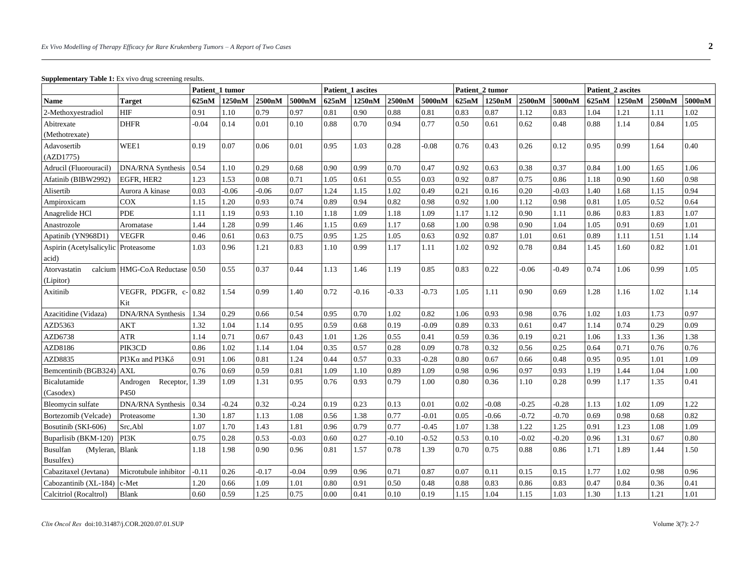|  |  |  |  | <b>Supplementary Table 1:</b> Ex vivo drug screening results. |  |
|--|--|--|--|---------------------------------------------------------------|--|
|--|--|--|--|---------------------------------------------------------------|--|

|                                     |                                | Patient 1 tumor |         |         |         | Patient_1 ascites |                     |         |         | Patient 2 tumor |                     |         |         | Patient 2 ascites |                     |        |        |
|-------------------------------------|--------------------------------|-----------------|---------|---------|---------|-------------------|---------------------|---------|---------|-----------------|---------------------|---------|---------|-------------------|---------------------|--------|--------|
| <b>Name</b>                         | Target                         | 625nM           | 1250nM  | 2500nM  | 5000nM  | 625nM             | 1250 <sub>n</sub> M | 2500nM  | 5000nM  | 625nM           | 1250 <sub>n</sub> M | 2500nM  | 5000nM  | 625nM             | 1250 <sub>n</sub> M | 2500nM | 5000nM |
| 2-Methoxyestradiol                  | HIF                            | 0.91            | 1.10    | 0.79    | 0.97    | 0.81              | 0.90                | 0.88    | 0.81    | 0.83            | 0.87                | 1.12    | 0.83    | 1.04              | 1.21                | 1.11   | 1.02   |
| Abitrexate                          | <b>DHFR</b>                    | $-0.04$         | 0.14    | 0.01    | 0.10    | 0.88              | 0.70                | 0.94    | 0.77    | 0.50            | 0.61                | 0.62    | 0.48    | 0.88              | 1.14                | 0.84   | 1.05   |
| (Methotrexate)                      |                                |                 |         |         |         |                   |                     |         |         |                 |                     |         |         |                   |                     |        |        |
| Adavosertib                         | WEE1                           | 0.19            | 0.07    | 0.06    | 0.01    | 0.95              | 1.03                | 0.28    | $-0.08$ | 0.76            | 0.43                | 0.26    | 0.12    | 0.95              | 0.99                | 1.64   | 0.40   |
| (AZD1775)                           |                                |                 |         |         |         |                   |                     |         |         |                 |                     |         |         |                   |                     |        |        |
| Adrucil (Fluorouracil)              | DNA/RNA Synthesis              | 0.54            | 1.10    | 0.29    | 0.68    | 0.90              | 0.99                | 0.70    | 0.47    | 0.92            | 0.63                | 0.38    | 0.37    | 0.84              | 1.00                | 1.65   | 1.06   |
| Afatinib (BIBW2992)                 | EGFR, HER2                     | 1.23            | 1.53    | 0.08    | 0.71    | 1.05              | 0.61                | 0.55    | 0.03    | 0.92            | 0.87                | 0.75    | 0.86    | 1.18              | 0.90                | 1.60   | 0.98   |
| Alisertib                           | Aurora A kinase                | 0.03            | $-0.06$ | $-0.06$ | 0.07    | 1.24              | 1.15                | 1.02    | 0.49    | 0.21            | 0.16                | 0.20    | $-0.03$ | 1.40              | 1.68                | 1.15   | 0.94   |
| Ampiroxicam                         | COX                            | 1.15            | 1.20    | 0.93    | 0.74    | 0.89              | 0.94                | 0.82    | 0.98    | 0.92            | 1.00                | 1.12    | 0.98    | 0.81              | 1.05                | 0.52   | 0.64   |
| Anagrelide HCl                      | <b>PDE</b>                     | 1.11            | 1.19    | 0.93    | 1.10    | 1.18              | 1.09                | 1.18    | 1.09    | 1.17            | 1.12                | 0.90    | 1.11    | 0.86              | 0.83                | 1.83   | 1.07   |
| Anastrozole                         | Aromatase                      | 1.44            | 1.28    | 0.99    | 1.46    | 1.15              | 0.69                | 1.17    | 0.68    | 1.00            | 0.98                | 0.90    | 1.04    | 1.05              | 0.91                | 0.69   | 1.01   |
| Apatinib (YN968D1)                  | <b>VEGFR</b>                   | 0.46            | 0.61    | 0.63    | 0.75    | 0.95              | 1.25                | 1.05    | 0.63    | 0.92            | 0.87                | 1.01    | 0.61    | 0.89              | 1.11                | 1.51   | 1.14   |
| Aspirin (Acetylsalicylic Proteasome |                                | 1.03            | 0.96    | 1.21    | 0.83    | 1.10              | 0.99                | 1.17    | 1.11    | 1.02            | 0.92                | 0.78    | 0.84    | 1.45              | 1.60                | 0.82   | 1.01   |
| acid)                               |                                |                 |         |         |         |                   |                     |         |         |                 |                     |         |         |                   |                     |        |        |
| Atorvastatin                        | calcium HMG-CoA Reductase 0.50 |                 | 0.55    | 0.37    | 0.44    | 1.13              | 1.46                | 1.19    | 0.85    | 0.83            | 0.22                | $-0.06$ | $-0.49$ | 0.74              | 1.06                | 0.99   | 1.05   |
| (Lipitor)                           |                                |                 |         |         |         |                   |                     |         |         |                 |                     |         |         |                   |                     |        |        |
| Axitinib                            | VEGFR, PDGFR, c-10.82          |                 | 1.54    | 0.99    | 1.40    | 0.72              | $-0.16$             | $-0.33$ | $-0.73$ | 1.05            | 1.11                | 0.90    | 0.69    | 1.28              | 1.16                | 1.02   | 1.14   |
|                                     | Kit                            |                 |         |         |         |                   |                     |         |         |                 |                     |         |         |                   |                     |        |        |
| Azacitidine (Vidaza)                | <b>DNA/RNA Synthesis</b>       | 1.34            | 0.29    | 0.66    | 0.54    | 0.95              | 0.70                | 1.02    | 0.82    | 1.06            | 0.93                | 0.98    | 0.76    | 1.02              | 1.03                | 1.73   | 0.97   |
| AZD5363                             | <b>AKT</b>                     | 1.32            | 1.04    | 1.14    | 0.95    | 0.59              | 0.68                | 0.19    | $-0.09$ | 0.89            | 0.33                | 0.61    | 0.47    | 1.14              | 0.74                | 0.29   | 0.09   |
| AZD6738                             | <b>ATR</b>                     | 1.14            | 0.71    | 0.67    | 0.43    | 1.01              | 1.26                | 0.55    | 0.41    | 0.59            | 0.36                | 0.19    | 0.21    | 1.06              | 1.33                | 1.36   | 1.38   |
| AZD8186                             | PIK3CD                         | 0.86            | 1.02    | 1.14    | 1.04    | 0.35              | 0.57                | 0.28    | 0.09    | 0.78            | 0.32                | 0.56    | 0.25    | 0.64              | 0.71                | 0.76   | 0.76   |
| AZD8835                             | PI3Kα and PI3Kδ                | 0.91            | 1.06    | 0.81    | 1.24    | 0.44              | 0.57                | 0.33    | $-0.28$ | 0.80            | 0.67                | 0.66    | 0.48    | 0.95              | 0.95                | 1.01   | 1.09   |
| Bemcentinib (BGB324)                | AXL                            | 0.76            | 0.69    | 0.59    | 0.81    | 1.09              | 1.10                | 0.89    | 1.09    | 0.98            | 0.96                | 0.97    | 0.93    | 1.19              | 1.44                | 1.04   | 1.00   |
| Bicalutamide                        | Androgen Receptor, 1.39        |                 | 1.09    | 1.31    | 0.95    | 0.76              | 0.93                | 0.79    | 1.00    | 0.80            | 0.36                | 1.10    | 0.28    | 0.99              | 1.17                | 1.35   | 0.41   |
| (Casodex)                           | P450                           |                 |         |         |         |                   |                     |         |         |                 |                     |         |         |                   |                     |        |        |
| Bleomycin sulfate                   | <b>DNA/RNA Synthesis</b>       | 0.34            | $-0.24$ | 0.32    | $-0.24$ | 0.19              | 0.23                | 0.13    | 0.01    | 0.02            | $-0.08$             | $-0.25$ | $-0.28$ | 1.13              | 1.02                | 1.09   | 1.22   |
| Bortezomib (Velcade)                | Proteasome                     | 1.30            | 1.87    | 1.13    | 1.08    | 0.56              | 1.38                | 0.77    | $-0.01$ | 0.05            | $-0.66$             | $-0.72$ | $-0.70$ | 0.69              | 0.98                | 0.68   | 0.82   |
| Bosutinib (SKI-606)                 | Src, Abl                       | 1.07            | 1.70    | 1.43    | 1.81    | 0.96              | 0.79                | 0.77    | $-0.45$ | 1.07            | 1.38                | 1.22    | 1.25    | 0.91              | 1.23                | 1.08   | 1.09   |
| Buparlisib (BKM-120)                | PI3K                           | 0.75            | 0.28    | 0.53    | $-0.03$ | 0.60              | 0.27                | $-0.10$ | $-0.52$ | 0.53            | 0.10                | $-0.02$ | $-0.20$ | 0.96              | 1.31                | 0.67   | 0.80   |
| Busulfan<br>(Myleran, Blank         |                                | 1.18            | 1.98    | 0.90    | 0.96    | 0.81              | 1.57                | 0.78    | 1.39    | 0.70            | 0.75                | 0.88    | 0.86    | 1.71              | 1.89                | 1.44   | 1.50   |
| Busulfex)                           |                                |                 |         |         |         |                   |                     |         |         |                 |                     |         |         |                   |                     |        |        |
| Cabazitaxel (Jevtana)               | Microtubule inhibitor          | $-0.11$         | 0.26    | $-0.17$ | $-0.04$ | 0.99              | 0.96                | 0.71    | 0.87    | 0.07            | 0.11                | 0.15    | 0.15    | 1.77              | 1.02                | 0.98   | 0.96   |
| Cabozantinib (XL-184)               | c-Met                          | 1.20            | 0.66    | 1.09    | 1.01    | 0.80              | 0.91                | 0.50    | 0.48    | 0.88            | 0.83                | 0.86    | 0.83    | 0.47              | 0.84                | 0.36   | 0.41   |
| Calcitriol (Rocaltrol)              | <b>Blank</b>                   | 0.60            | 0.59    | 1.25    | 0.75    | 0.00              | 0.41                | 0.10    | 0.19    | 1.15            | 1.04                | 1.15    | 1.03    | 1.30              | 1.13                | 1.21   | 1.01   |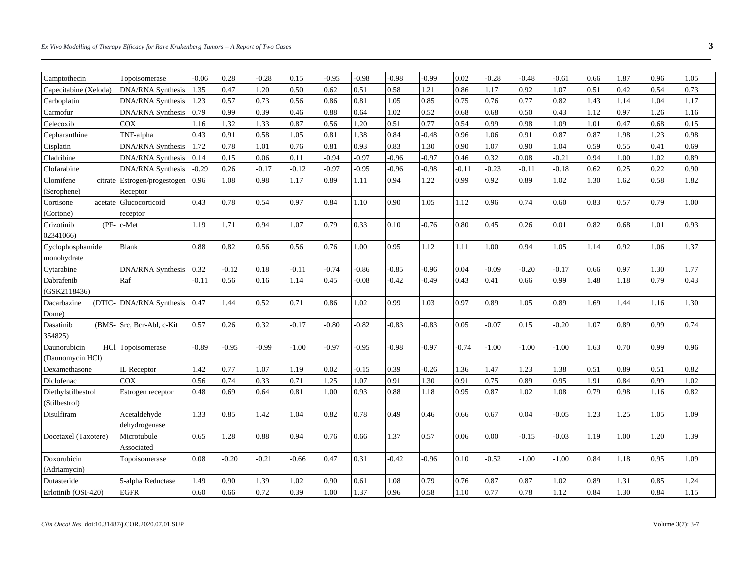| Camptothecin                | Topoisomerase              | $-0.06$ | 0.28    | $-0.28$ | 0.15    | $-0.95$ | $-0.98$ | $-0.98$ | $-0.99$ | 0.02    | $-0.28$ | $-0.48$ | $-0.61$ | 0.66 | 1.87 | 0.96 | 1.05 |
|-----------------------------|----------------------------|---------|---------|---------|---------|---------|---------|---------|---------|---------|---------|---------|---------|------|------|------|------|
| Capecitabine (Xeloda)       | <b>DNA/RNA Synthesis</b>   | 1.35    | 0.47    | 1.20    | 0.50    | 0.62    | 0.51    | 0.58    | 1.21    | 0.86    | 1.17    | 0.92    | 1.07    | 0.51 | 0.42 | 0.54 | 0.73 |
| Carboplatin                 | <b>DNA/RNA Synthesis</b>   | 1.23    | 0.57    | 0.73    | 0.56    | 0.86    | 0.81    | 1.05    | 0.85    | 0.75    | 0.76    | 0.77    | 0.82    | 1.43 | 1.14 | 1.04 | 1.17 |
| Carmofur                    | DNA/RNA Synthesis          | 0.79    | 0.99    | 0.39    | 0.46    | 0.88    | 0.64    | 1.02    | 0.52    | 0.68    | 0.68    | 0.50    | 0.43    | 1.12 | 0.97 | 1.26 | 1.16 |
| Celecoxib                   | COX                        | 1.16    | 1.32    | 1.33    | 0.87    | 0.56    | 1.20    | 0.51    | 0.77    | 0.54    | 0.99    | 0.98    | 1.09    | 1.01 | 0.47 | 0.68 | 0.15 |
| Cepharanthine               | TNF-alpha                  | 0.43    | 0.91    | 0.58    | 1.05    | 0.81    | 1.38    | 0.84    | $-0.48$ | 0.96    | 1.06    | 0.91    | 0.87    | 0.87 | 1.98 | 1.23 | 0.98 |
| Cisplatin                   | DNA/RNA Synthesis          | 1.72    | 0.78    | 1.01    | 0.76    | 0.81    | 0.93    | 0.83    | 1.30    | 0.90    | 1.07    | 0.90    | 1.04    | 0.59 | 0.55 | 0.41 | 0.69 |
| Cladribine                  | DNA/RNA Synthesis          | 0.14    | 0.15    | 0.06    | 0.11    | $-0.94$ | $-0.97$ | $-0.96$ | $-0.97$ | 0.46    | 0.32    | 0.08    | $-0.21$ | 0.94 | 1.00 | 1.02 | 0.89 |
| Clofarabine                 | <b>DNA/RNA Synthesis</b>   | $-0.29$ | 0.26    | $-0.17$ | $-0.12$ | $-0.97$ | $-0.95$ | $-0.96$ | $-0.98$ | $-0.11$ | $-0.23$ | $-0.11$ | $-0.18$ | 0.62 | 0.25 | 0.22 | 0.90 |
| Clomifene<br>citrate        | Estrogen/progestogen       | 0.96    | 1.08    | 0.98    | 1.17    | 0.89    | 1.11    | 0.94    | 1.22    | 0.99    | 0.92    | 0.89    | 1.02    | 1.30 | 1.62 | 0.58 | 1.82 |
| (Serophene)                 | Receptor                   |         |         |         |         |         |         |         |         |         |         |         |         |      |      |      |      |
| Cortisone<br>acetate        | Glucocorticoid             | 0.43    | 0.78    | 0.54    | 0.97    | 0.84    | 1.10    | 0.90    | 1.05    | 1.12    | 0.96    | 0.74    | 0.60    | 0.83 | 0.57 | 0.79 | 1.00 |
| (Cortone)                   | receptor                   |         |         |         |         |         |         |         |         |         |         |         |         |      |      |      |      |
| Crizotinib                  | $(PF - c-Met)$             | 1.19    | 1.71    | 0.94    | 1.07    | 0.79    | 0.33    | 0.10    | $-0.76$ | 0.80    | 0.45    | 0.26    | 0.01    | 0.82 | 0.68 | 1.01 | 0.93 |
| 02341066)                   |                            |         |         |         |         |         |         |         |         |         |         |         |         |      |      |      |      |
| Cyclophosphamide            | <b>Blank</b>               | 0.88    | 0.82    | 0.56    | 0.56    | 0.76    | 1.00    | 0.95    | 1.12    | 1.11    | 1.00    | 0.94    | 1.05    | 1.14 | 0.92 | 1.06 | 1.37 |
| monohydrate                 |                            |         |         |         |         |         |         |         |         |         |         |         |         |      |      |      |      |
| Cytarabine                  | DNA/RNA Synthesis          | 0.32    | $-0.12$ | 0.18    | $-0.11$ | $-0.74$ | $-0.86$ | $-0.85$ | $-0.96$ | 0.04    | $-0.09$ | $-0.20$ | $-0.17$ | 0.66 | 0.97 | 1.30 | 1.77 |
| Dabrafenib                  | Raf                        | $-0.11$ | 0.56    | 0.16    | 1.14    | 0.45    | $-0.08$ | $-0.42$ | $-0.49$ | 0.43    | 0.41    | 0.66    | 0.99    | 1.48 | 1.18 | 0.79 | 0.43 |
| (GSK2118436)                |                            |         |         |         |         |         |         |         |         |         |         |         |         |      |      |      |      |
| Dacarbazine                 | (DTIC-DNA/RNA Synthesis)   | 0.47    | 1.44    | 0.52    | 0.71    | 0.86    | 1.02    | 0.99    | 1.03    | 0.97    | 0.89    | 1.05    | 0.89    | 1.69 | 1.44 | 1.16 | 1.30 |
| Dome)                       |                            |         |         |         |         |         |         |         |         |         |         |         |         |      |      |      |      |
| Dasatinib                   | (BMS-1Src. Bcr-Abl. c-Kit) | 0.57    | 0.26    | 0.32    | $-0.17$ | $-0.80$ | $-0.82$ | $-0.83$ | $-0.83$ | 0.05    | $-0.07$ | 0.15    | $-0.20$ | 1.07 | 0.89 | 0.99 | 0.74 |
| 354825)                     |                            |         |         |         |         |         |         |         |         |         |         |         |         |      |      |      |      |
| Daunorubicin                | HCl Topoisomerase          | $-0.89$ | $-0.95$ | $-0.99$ | $-1.00$ | $-0.97$ | $-0.95$ | $-0.98$ | $-0.97$ | $-0.74$ | $-1.00$ | $-1.00$ | $-1.00$ | 1.63 | 0.70 | 0.99 | 0.96 |
| (Daunomycin HCl)            |                            |         |         |         |         |         |         |         |         |         |         |         |         |      |      |      |      |
| Dexamethasone               | IL Receptor                | 1.42    | 0.77    | 1.07    | 1.19    | 0.02    | $-0.15$ | 0.39    | $-0.26$ | 1.36    | 1.47    | 1.23    | 1.38    | 0.51 | 0.89 | 0.51 | 0.82 |
| Diclofenac                  | COX                        | 0.56    | 0.74    | 0.33    | 0.71    | 1.25    | 1.07    | 0.91    | 1.30    | 0.91    | 0.75    | 0.89    | 0.95    | 1.91 | 0.84 | 0.99 | 1.02 |
| Diethylstilbestrol          | Estrogen receptor          | 0.48    | 0.69    | 0.64    | 0.81    | 1.00    | 0.93    | 0.88    | 1.18    | 0.95    | 0.87    | 1.02    | 1.08    | 0.79 | 0.98 | 1.16 | 0.82 |
| (Stilbestrol)               |                            |         |         |         |         |         |         |         |         |         |         |         |         |      |      |      |      |
| Disulfiram                  | Acetaldehyde               | 1.33    | 0.85    | 1.42    | 1.04    | 0.82    | 0.78    | 0.49    | 0.46    | 0.66    | 0.67    | 0.04    | $-0.05$ | 1.23 | 1.25 | 1.05 | 1.09 |
|                             | dehydrogenase              | 0.65    | 1.28    | 0.88    | 0.94    | 0.76    | 0.66    | 1.37    | 0.57    | 0.06    | 0.00    | $-0.15$ | $-0.03$ | 1.19 | 1.00 | 1.20 | 1.39 |
| Docetaxel (Taxotere)        | Microtubule<br>Associated  |         |         |         |         |         |         |         |         |         |         |         |         |      |      |      |      |
|                             |                            | 0.08    | $-0.20$ | $-0.21$ | $-0.66$ | 0.47    | 0.31    | $-0.42$ | $-0.96$ | 0.10    | $-0.52$ | $-1.00$ | $-1.00$ | 0.84 | 1.18 | 0.95 | 1.09 |
| Doxorubicin                 | Topoisomerase              |         |         |         |         |         |         |         |         |         |         |         |         |      |      |      |      |
| (Adriamycin)<br>Dutasteride | 5-alpha Reductase          | 1.49    | 0.90    | 1.39    | 1.02    | 0.90    | 0.61    | 1.08    | 0.79    | 0.76    | 0.87    | 0.87    | 1.02    | 0.89 | 1.31 | 0.85 | 1.24 |
|                             |                            | 0.60    | 0.66    | 0.72    | 0.39    | 1.00    | 1.37    | 0.96    | 0.58    | 1.10    | 0.77    | 0.78    | 1.12    | 0.84 | 1.30 | 0.84 | 1.15 |
| Erlotinib (OSI-420)         | <b>EGFR</b>                |         |         |         |         |         |         |         |         |         |         |         |         |      |      |      |      |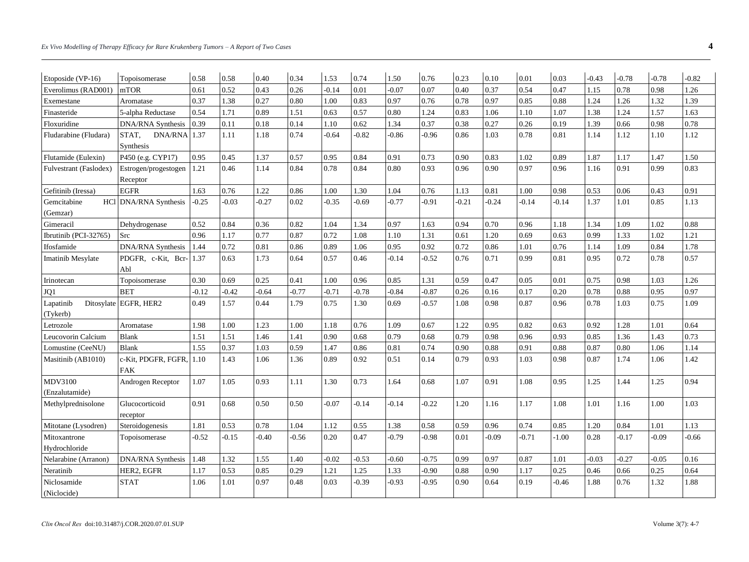| Etoposide (VP-16)                     | Topoisomerase                      | 0.58    | 0.58    | 0.40    | 0.34    | 1.53    | 0.74    | 1.50    | 0.76    | 0.23    | 0.10    | 0.01    | 0.03    | $-0.43$ | $-0.78$ | $-0.78$ | $-0.82$ |
|---------------------------------------|------------------------------------|---------|---------|---------|---------|---------|---------|---------|---------|---------|---------|---------|---------|---------|---------|---------|---------|
| Everolimus (RAD001)                   | mTOR                               | 0.61    | 0.52    | 0.43    | 0.26    | $-0.14$ | 0.01    | $-0.07$ | 0.07    | 0.40    | 0.37    | 0.54    | 0.47    | 1.15    | 0.78    | 0.98    | 1.26    |
| Exemestane                            | Aromatase                          | 0.37    | 1.38    | 0.27    | 0.80    | 1.00    | 0.83    | 0.97    | 0.76    | 0.78    | 0.97    | 0.85    | 0.88    | 1.24    | 1.26    | 1.32    | 1.39    |
| Finasteride                           | 5-alpha Reductase                  | 0.54    | 1.71    | 0.89    | 1.51    | 0.63    | 0.57    | 0.80    | 1.24    | 0.83    | 1.06    | 1.10    | 1.07    | 1.38    | 1.24    | 1.57    | 1.63    |
| Floxuridine                           | <b>DNA/RNA Synthesis</b>           | 0.39    | 0.11    | 0.18    | 0.14    | 1.10    | 0.62    | 1.34    | 0.37    | 0.38    | 0.27    | 0.26    | 0.19    | 1.39    | 0.66    | 0.98    | 0.78    |
| Fludarabine (Fludara)                 | STAT.<br>DNA/RNA 1.37<br>Synthesis |         | 1.11    | 1.18    | 0.74    | $-0.64$ | $-0.82$ | $-0.86$ | $-0.96$ | 0.86    | 1.03    | 0.78    | 0.81    | 1.14    | 1.12    | 1.10    | 1.12    |
| Flutamide (Eulexin)                   | P450 (e.g. CYP17)                  | 0.95    | 0.45    | 1.37    | 0.57    | 0.95    | 0.84    | 0.91    | 0.73    | 0.90    | 0.83    | 1.02    | 0.89    | 1.87    | 1.17    | 1.47    | 1.50    |
| Fulvestrant (Faslodex)                | Estrogen/progestogen<br>Receptor   | 1.21    | 0.46    | 1.14    | 0.84    | 0.78    | 0.84    | 0.80    | 0.93    | 0.96    | 0.90    | 0.97    | 0.96    | 1.16    | 0.91    | 0.99    | 0.83    |
| Gefitinib (Iressa)                    | <b>EGFR</b>                        | 1.63    | 0.76    | 1.22    | 0.86    | 1.00    | 1.30    | 1.04    | 0.76    | 1.13    | 0.81    | 1.00    | 0.98    | 0.53    | 0.06    | 0.43    | 0.91    |
| Gemcitabine<br><b>HCl</b><br>(Gemzar) | <b>DNA/RNA Synthesis</b>           | $-0.25$ | $-0.03$ | $-0.27$ | 0.02    | $-0.35$ | $-0.69$ | $-0.77$ | $-0.91$ | $-0.21$ | $-0.24$ | $-0.14$ | $-0.14$ | 1.37    | 1.01    | 0.85    | 1.13    |
| Gimeracil                             | Dehydrogenase                      | 0.52    | 0.84    | 0.36    | 0.82    | 1.04    | 1.34    | 0.97    | 1.63    | 0.94    | 0.70    | 0.96    | 1.18    | 1.34    | 1.09    | 1.02    | 0.88    |
| Ibrutinib (PCI-32765)                 | Src                                | 0.96    | 1.17    | 0.77    | 0.87    | 0.72    | 1.08    | 1.10    | 1.31    | 0.61    | 1.20    | 0.69    | 0.63    | 0.99    | 1.33    | 1.02    | 1.21    |
| Ifosfamide                            | <b>DNA/RNA Synthesis</b>           | 1.44    | 0.72    | 0.81    | 0.86    | 0.89    | 1.06    | 0.95    | 0.92    | 0.72    | 0.86    | 1.01    | 0.76    | 1.14    | 1.09    | 0.84    | 1.78    |
| Imatinib Mesylate                     | PDGFR, c-Kit, Bcr-<br>Abl          | 1.37    | 0.63    | 1.73    | 0.64    | 0.57    | 0.46    | $-0.14$ | $-0.52$ | 0.76    | 0.71    | 0.99    | 0.81    | 0.95    | 0.72    | 0.78    | 0.57    |
| Irinotecan                            | Topoisomerase                      | 0.30    | 0.69    | 0.25    | 0.41    | 1.00    | 0.96    | 0.85    | 1.31    | 0.59    | 0.47    | 0.05    | 0.01    | 0.75    | 0.98    | 1.03    | 1.26    |
| JQ1                                   | <b>BET</b>                         | $-0.12$ | $-0.42$ | $-0.64$ | $-0.77$ | $-0.71$ | $-0.78$ | $-0.84$ | $-0.87$ | 0.26    | 0.16    | 0.17    | 0.20    | 0.78    | 0.88    | 0.95    | 0.97    |
| Lapatinib<br>(Tykerb)                 | Ditosylate EGFR, HER2              | 0.49    | 1.57    | 0.44    | 1.79    | 0.75    | 1.30    | 0.69    | $-0.57$ | 1.08    | 0.98    | 0.87    | 0.96    | 0.78    | 1.03    | 0.75    | 1.09    |
| Letrozole                             | Aromatase                          | 1.98    | 1.00    | 1.23    | 1.00    | 1.18    | 0.76    | 1.09    | 0.67    | 1.22    | 0.95    | 0.82    | 0.63    | 0.92    | 1.28    | 1.01    | 0.64    |
| Leucovorin Calcium                    | <b>Blank</b>                       | 1.51    | 1.51    | 1.46    | 1.41    | 0.90    | 0.68    | 0.79    | 0.68    | 0.79    | 0.98    | 0.96    | 0.93    | 0.85    | 1.36    | 1.43    | 0.73    |
| Lomustine (CeeNU)                     | <b>Blank</b>                       | 1.55    | 0.37    | 1.03    | 0.59    | 1.47    | 0.86    | 0.81    | 0.74    | 0.90    | 0.88    | 0.91    | 0.88    | 0.87    | 0.80    | 1.06    | 1.14    |
| Masitinib (AB1010)                    | c-Kit, PDGFR, FGFR,<br><b>FAK</b>  | 1.10    | 1.43    | 1.06    | 1.36    | 0.89    | 0.92    | 0.51    | 0.14    | 0.79    | 0.93    | 1.03    | 0.98    | 0.87    | 1.74    | 1.06    | 1.42    |
| <b>MDV3100</b><br>(Enzalutamide)      | Androgen Receptor                  | 1.07    | 1.05    | 0.93    | 1.11    | 1.30    | 0.73    | 1.64    | 0.68    | 1.07    | 0.91    | 1.08    | 0.95    | 1.25    | 1.44    | 1.25    | 0.94    |
| Methylprednisolone                    | Glucocorticoid<br>receptor         | 0.91    | 0.68    | 0.50    | 0.50    | $-0.07$ | $-0.14$ | -0.14   | $-0.22$ | 1.20    | 1.16    | 1.17    | 1.08    | 1.01    | 1.16    | 1.00    | 1.03    |
| Mitotane (Lysodren)                   | Steroidogenesis                    | 1.81    | 0.53    | 0.78    | 1.04    | 1.12    | 0.55    | 1.38    | 0.58    | 0.59    | 0.96    | 0.74    | 0.85    | 1.20    | 0.84    | 1.01    | 1.13    |
| Mitoxantrone<br>Hydrochloride         | Topoisomerase                      | $-0.52$ | $-0.15$ | $-0.40$ | $-0.56$ | 0.20    | 0.47    | $-0.79$ | $-0.98$ | 0.01    | $-0.09$ | $-0.71$ | $-1.00$ | 0.28    | $-0.17$ | $-0.09$ | $-0.66$ |
| Nelarabine (Arranon)                  | <b>DNA/RNA Synthesis</b>           | 1.48    | 1.32    | 1.55    | 1.40    | $-0.02$ | $-0.53$ | $-0.60$ | $-0.75$ | 0.99    | 0.97    | 0.87    | 1.01    | $-0.03$ | $-0.27$ | $-0.05$ | 0.16    |
| Neratinib                             | HER2, EGFR                         | 1.17    | 0.53    | 0.85    | 0.29    | 1.21    | 1.25    | 1.33    | $-0.90$ | 0.88    | 0.90    | 1.17    | 0.25    | 0.46    | 0.66    | 0.25    | 0.64    |
| Niclosamide<br>(Niclocide)            | <b>STAT</b>                        | 1.06    | 1.01    | 0.97    | 0.48    | 0.03    | $-0.39$ | $-0.93$ | $-0.95$ | 0.90    | 0.64    | 0.19    | $-0.46$ | 1.88    | 0.76    | 1.32    | 1.88    |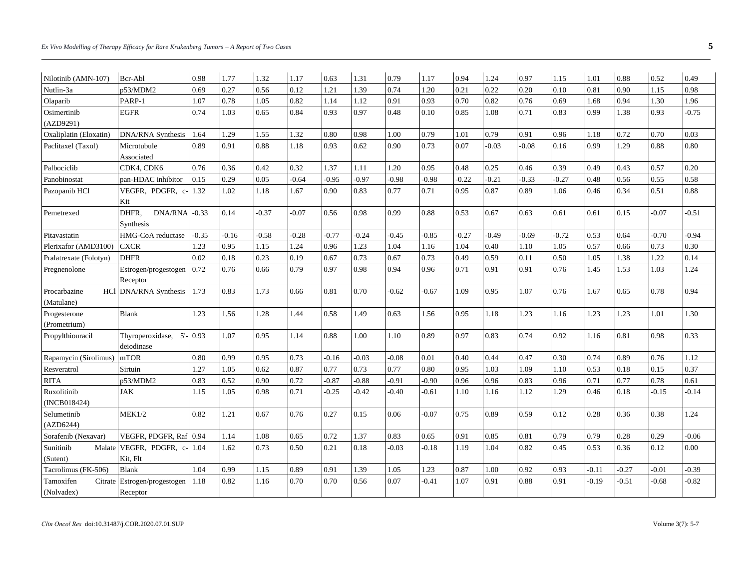| Nilotinib (AMN-107)                | Bcr-Abl                                 | 0.98    | 1.77    | 1.32    | 1.17    | 0.63    | 1.31    | 0.79    | 1.17    | 0.94    | 1.24    | 0.97    | 1.15    | 1.01    | 0.88    | 0.52    | 0.49    |
|------------------------------------|-----------------------------------------|---------|---------|---------|---------|---------|---------|---------|---------|---------|---------|---------|---------|---------|---------|---------|---------|
| Nutlin-3a                          | p53/MDM2                                | 0.69    | 0.27    | 0.56    | 0.12    | 1.21    | 1.39    | 0.74    | 1.20    | 0.21    | 0.22    | 0.20    | 0.10    | 0.81    | 0.90    | 1.15    | 0.98    |
| Olaparib                           | PARP-1                                  | 1.07    | 0.78    | 1.05    | 0.82    | 1.14    | 1.12    | 0.91    | 0.93    | 0.70    | 0.82    | 0.76    | 0.69    | 1.68    | 0.94    | 1.30    | 1.96    |
| Osimertinib                        | <b>EGFR</b>                             | 0.74    | 1.03    | 0.65    | 0.84    | 0.93    | 0.97    | 0.48    | 0.10    | 0.85    | 1.08    | 0.71    | 0.83    | 0.99    | 1.38    | 0.93    | $-0.75$ |
| (AZD9291)                          |                                         |         |         |         |         |         |         |         |         |         |         |         |         |         |         |         |         |
| Oxaliplatin (Eloxatin)             | DNA/RNA Synthesis                       | 1.64    | 1.29    | 1.55    | 1.32    | 0.80    | 0.98    | 1.00    | 0.79    | 1.01    | 0.79    | 0.91    | 0.96    | 1.18    | 0.72    | 0.70    | 0.03    |
| Paclitaxel (Taxol)                 | Microtubule<br>Associated               | 0.89    | 0.91    | 0.88    | 1.18    | 0.93    | 0.62    | 0.90    | 0.73    | 0.07    | $-0.03$ | $-0.08$ | 0.16    | 0.99    | 1.29    | 0.88    | 0.80    |
| Palbociclib                        | CDK4, CDK6                              | 0.76    | 0.36    | 0.42    | 0.32    | 1.37    | 1.11    | 1.20    | 0.95    | 0.48    | 0.25    | 0.46    | 0.39    | 0.49    | 0.43    | 0.57    | 0.20    |
| Panobinostat                       | pan-HDAC inhibitor                      | 0.15    | 0.29    | 0.05    | $-0.64$ | $-0.95$ | $-0.97$ | $-0.98$ | $-0.98$ | $-0.22$ | $-0.21$ | $-0.33$ | $-0.27$ | 0.48    | 0.56    | 0.55    | 0.58    |
| Pazopanib HCl                      | VEGFR, PDGFR, c-<br>Kit                 | 1.32    | 1.02    | 1.18    | 1.67    | 0.90    | 0.83    | 0.77    | 0.71    | 0.95    | 0.87    | 0.89    | 1.06    | 0.46    | 0.34    | 0.51    | 0.88    |
| Pemetrexed                         | DHFR.<br>$DNA/RNA$ -0.33<br>Synthesis   |         | 0.14    | $-0.37$ | $-0.07$ | 0.56    | 0.98    | 0.99    | 0.88    | 0.53    | 0.67    | 0.63    | 0.61    | 0.61    | 0.15    | $-0.07$ | $-0.51$ |
| Pitavastatin                       | HMG-CoA reductase                       | $-0.35$ | $-0.16$ | $-0.58$ | $-0.28$ | $-0.77$ | $-0.24$ | $-0.45$ | $-0.85$ | $-0.27$ | $-0.49$ | $-0.69$ | $-0.72$ | 0.53    | 0.64    | $-0.70$ | $-0.94$ |
| Plerixafor (AMD3100)               | <b>CXCR</b>                             | 1.23    | 0.95    | 1.15    | 1.24    | 0.96    | 1.23    | 1.04    | 1.16    | 1.04    | 0.40    | 1.10    | 1.05    | 0.57    | 0.66    | 0.73    | 0.30    |
| Pralatrexate (Folotyn)             | <b>DHFR</b>                             | 0.02    | 0.18    | 0.23    | 0.19    | 0.67    | 0.73    | 0.67    | 0.73    | 0.49    | 0.59    | 0.11    | 0.50    | 1.05    | 1.38    | 1.22    | 0.14    |
| Pregnenolone                       | Estrogen/progestogen<br>Receptor        | 0.72    | 0.76    | 0.66    | 0.79    | 0.97    | 0.98    | 0.94    | 0.96    | 0.71    | 0.91    | 0.91    | 0.76    | 1.45    | 1.53    | 1.03    | 1.24    |
| Procarbazine<br>(Matulane)         | <b>HCl DNA/RNA Synthesis</b>            | 1.73    | 0.83    | 1.73    | 0.66    | 0.81    | 0.70    | $-0.62$ | $-0.67$ | 1.09    | 0.95    | 1.07    | 0.76    | 1.67    | 0.65    | 0.78    | 0.94    |
| Progesterone<br>(Prometrium)       | <b>Blank</b>                            | 1.23    | 1.56    | 1.28    | 1.44    | 0.58    | 1.49    | 0.63    | 1.56    | 0.95    | 1.18    | 1.23    | 1.16    | 1.23    | 1.23    | 1.01    | 1.30    |
| Propylthiouracil                   | Thyroperoxidase, 5'- 0.93<br>deiodinase |         | 1.07    | 0.95    | 1.14    | 0.88    | 1.00    | 1.10    | 0.89    | 0.97    | 0.83    | 0.74    | 0.92    | 1.16    | 0.81    | 0.98    | 0.33    |
| Rapamycin (Sirolimus)              | mTOR                                    | 0.80    | 0.99    | 0.95    | 0.73    | $-0.16$ | $-0.03$ | $-0.08$ | 0.01    | 0.40    | 0.44    | 0.47    | 0.30    | 0.74    | 0.89    | 0.76    | 1.12    |
| Resveratrol                        | Sirtuin                                 | 1.27    | 1.05    | 0.62    | 0.87    | 0.77    | 0.73    | 0.77    | 0.80    | 0.95    | 1.03    | 1.09    | 1.10    | 0.53    | 0.18    | 0.15    | 0.37    |
| <b>RITA</b>                        | p53/MDM2                                | 0.83    | 0.52    | 0.90    | 0.72    | $-0.87$ | $-0.88$ | $-0.91$ | $-0.90$ | 0.96    | 0.96    | 0.83    | 0.96    | 0.71    | 0.77    | 0.78    | 0.61    |
| Ruxolitinib<br>(INCB018424)        | <b>JAK</b>                              | 1.15    | 1.05    | 0.98    | 0.71    | $-0.25$ | $-0.42$ | $-0.40$ | $-0.61$ | 1.10    | 1.16    | 1.12    | 1.29    | 0.46    | 0.18    | $-0.15$ | $-0.14$ |
| Selumetinib<br>(AZD6244)           | MEK1/2                                  | 0.82    | 1.21    | 0.67    | 0.76    | 0.27    | 0.15    | 0.06    | $-0.07$ | 0.75    | 0.89    | 0.59    | 0.12    | 0.28    | 0.36    | 0.38    | 1.24    |
| Sorafenib (Nexavar)                | VEGFR, PDGFR, Raf 0.94                  |         | 1.14    | 1.08    | 0.65    | 0.72    | 1.37    | 0.83    | 0.65    | 0.91    | 0.85    | 0.81    | 0.79    | 0.79    | 0.28    | 0.29    | $-0.06$ |
| Sunitinib<br>Malate<br>(Sutent)    | VEGFR, PDGFR, c-<br>Kit, Flt            | 1.04    | 1.62    | 0.73    | 0.50    | 0.21    | 0.18    | $-0.03$ | $-0.18$ | 1.19    | 1.04    | 0.82    | 0.45    | 0.53    | 0.36    | 0.12    | 0.00    |
| Tacrolimus (FK-506)                | <b>Blank</b>                            | 1.04    | 0.99    | 1.15    | 0.89    | 0.91    | 1.39    | 1.05    | 1.23    | 0.87    | 1.00    | 0.92    | 0.93    | $-0.11$ | $-0.27$ | $-0.01$ | $-0.39$ |
| Tamoxifen<br>Citrate<br>(Nolvadex) | Estrogen/progestogen<br>Receptor        | 1.18    | 0.82    | 1.16    | 0.70    | 0.70    | 0.56    | 0.07    | $-0.41$ | 1.07    | 0.91    | 0.88    | 0.91    | $-0.19$ | $-0.51$ | $-0.68$ | $-0.82$ |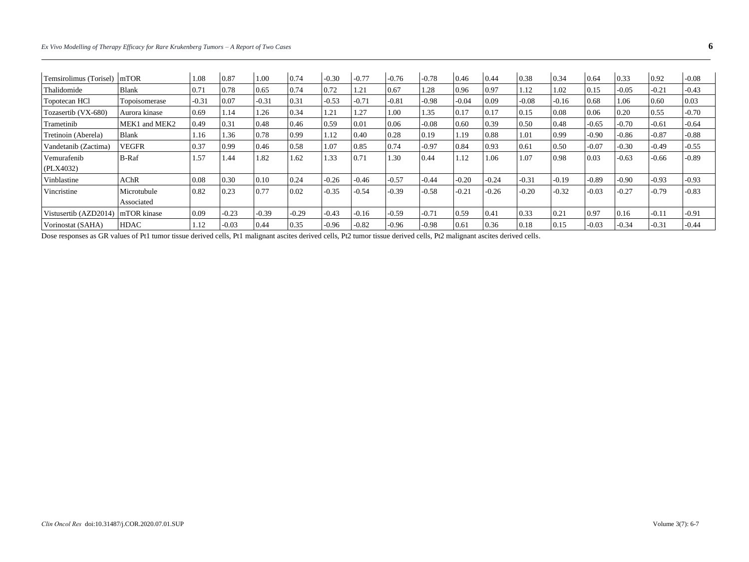| Temsirolimus (Torisel)            | mTOR                      | 1.08    | 0.87    | 1.00    | 0.74    | $-0.30$ | $-0.77$ | $-0.76$ | $-0.78$ | 0.46    | 0.44    | 0.38    | 0.34    | 0.64    | 0.33    | 0.92    | $-0.08$ |
|-----------------------------------|---------------------------|---------|---------|---------|---------|---------|---------|---------|---------|---------|---------|---------|---------|---------|---------|---------|---------|
| Thalidomide                       | <b>Blank</b>              | 0.71    | 0.78    | 0.65    | 0.74    | 0.72    | 1.21    | 0.67    | 1.28    | 0.96    | 0.97    | 1.12    | 1.02    | 0.15    | $-0.05$ | $-0.21$ | $-0.43$ |
| Topotecan HCl                     | Topoisomerase             | $-0.31$ | 0.07    | $-0.31$ | 0.31    | $-0.53$ | $-0.71$ | $-0.81$ | $-0.98$ | $-0.04$ | 0.09    | $-0.08$ | $-0.16$ | 0.68    | 1.06    | 0.60    | 0.03    |
| Tozasertib (VX-680)               | Aurora kinase             | 0.69    | 1.14    | 1.26    | 0.34    | 1.21    | 1.27    | 1.00    | 1.35    | 0.17    | 0.17    | 0.15    | 0.08    | 0.06    | 0.20    | 0.55    | $-0.70$ |
| Trametinib                        | MEK1 and MEK2             | 0.49    | 0.31    | 0.48    | 0.46    | 0.59    | 0.01    | 0.06    | $-0.08$ | 0.60    | 0.39    | 0.50    | 0.48    | $-0.65$ | $-0.70$ | $-0.61$ | $-0.64$ |
| Tretinoin (Aberela)               | <b>Blank</b>              | 1.16    | 1.36    | 0.78    | 0.99    | 1.12    | 0.40    | 0.28    | 0.19    | 1.19    | 0.88    | 1.01    | 0.99    | -0.90   | $-0.86$ | $-0.87$ | $-0.88$ |
| Vandetanib (Zactima)              | <b>VEGFR</b>              | 0.37    | 0.99    | 0.46    | 0.58    | 1.07    | 0.85    | 0.74    | $-0.97$ | 0.84    | 0.93    | 0.61    | 0.50    | $-0.07$ | $-0.30$ | $-0.49$ | $-0.55$ |
| Vemurafenib<br>(PLX4032)          | <b>B-Raf</b>              | 1.57    | 1.44    | 1.82    | 1.62    | 1.33    | 0.71    | l.30    | 0.44    | 1.12    | 1.06    | 1.07    | 0.98    | 0.03    | $-0.63$ | $-0.66$ | $-0.89$ |
| Vinblastine                       | AChR                      | 0.08    | 0.30    | 0.10    | 0.24    | $-0.26$ | $-0.46$ | $-0.57$ | $-0.44$ | $-0.20$ | $-0.24$ | $-0.31$ | $-0.19$ | $-0.89$ | $-0.90$ | $-0.93$ | $-0.93$ |
| Vincristine                       | Microtubule<br>Associated | 0.82    | 0.23    | 0.77    | 0.02    | $-0.35$ | $-0.54$ | $-0.39$ | $-0.58$ | $-0.21$ | $-0.26$ | $-0.20$ | $-0.32$ | $-0.03$ | $-0.27$ | $-0.79$ | $-0.83$ |
| Vistusertib (AZD2014) mTOR kinase |                           | 0.09    | $-0.23$ | $-0.39$ | $-0.29$ | $-0.43$ | $-0.16$ | $-0.59$ | $-0.71$ | 0.59    | 0.41    | 0.33    | 0.21    | 0.97    | 0.16    | $-0.11$ | $-0.91$ |
| Vorinostat (SAHA)                 | <b>HDAC</b>               | 1.12    | $-0.03$ | 0.44    | 0.35    | $-0.96$ | $-0.82$ | $-0.96$ | $-0.98$ | 0.61    | 0.36    | 0.18    | 0.15    | $-0.03$ | $-0.34$ | $-0.31$ | $-0.44$ |

Dose responses as GR values of Pt1 tumor tissue derived cells, Pt1 malignant ascites derived cells, Pt2 tumor tissue derived cells, Pt2 malignant ascites derived cells.